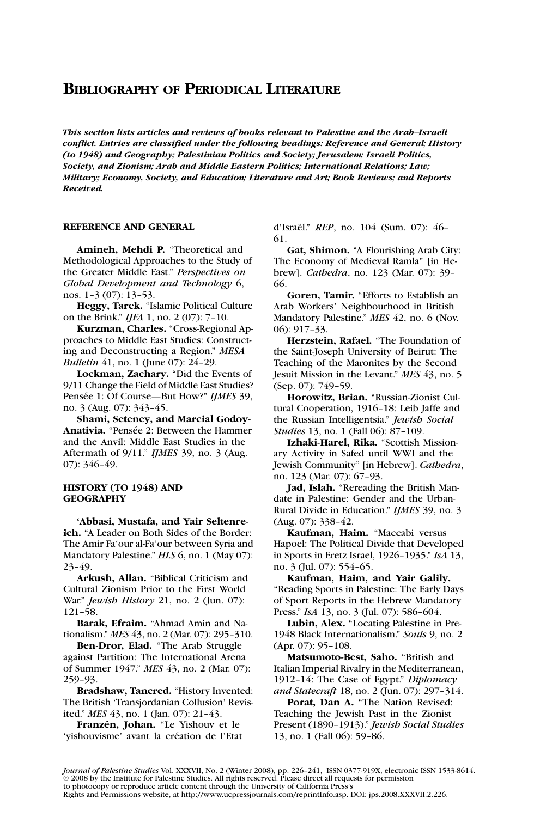# **BIBLIOGRAPHY OF PERIODICAL LITERATURE**

*This section lists articles and reviews of books relevant to Palestine and the Arab–Israeli conflict. Entries are classified under the following headings: Reference and General; History (to 1948) and Geography; Palestinian Politics and Society; Jerusalem; Israeli Politics, Society, and Zionism; Arab and Middle Eastern Politics; International Relations; Law; Military; Economy, Society, and Education; Literature and Art; Book Reviews; and Reports Received.*

# **REFERENCE AND GENERAL**

**Amineh, Mehdi P.** "Theoretical and Methodological Approaches to the Study of the Greater Middle East." *Perspectives on Global Development and Technology* 6, nos. 1–3 (07): 13–53.

**Heggy, Tarek.** "Islamic Political Culture on the Brink." *IJFA* 1, no. 2 (07): 7–10.

**Kurzman, Charles.** "Cross-Regional Approaches to Middle East Studies: Constructing and Deconstructing a Region." *MESA Bulletin* 41, no. 1 (June 07): 24-29.

**Lockman, Zachary.** "Did the Events of 9/11 Change the Field of Middle East Studies? Pensée 1: Of Course—But How?" *IJMES* 39, no. 3 (Aug. 07): 343–45.

**Shami, Seteney, and Marcial Godoy-**Anativia. "Pensée 2: Between the Hammer and the Anvil: Middle East Studies in the Aftermath of 9/11." *IJMES* 39, no. 3 (Aug. 07): 346–49.

# **HISTORY (TO 1948) AND GEOGRAPHY**

**'Abbasi, Mustafa, and Yair Seltenreich.** "A Leader on Both Sides of the Border: The Amir Fa'our al-Fa'our between Syria and Mandatory Palestine." *HLS* 6, no. 1 (May 07): 23–49.

**Arkush, Allan.** "Biblical Criticism and Cultural Zionism Prior to the First World War." *Jewish History* 21, no. 2 (Jun. 07): 121–58.

**Barak, Efraim.** "Ahmad Amin and Nationalism." *MES* 43, no. 2 (Mar. 07): 295–310.

**Ben-Dror, Elad.** "The Arab Struggle against Partition: The International Arena of Summer 1947." *MES* 43, no. 2 (Mar. 07): 259–93.

**Bradshaw, Tancred.** "History Invented: The British 'Transjordanian Collusion' Revisited." *MES* 43, no. 1 (Jan. 07): 21–43.

Franzén, Johan. "Le Yishouv et le 'yishouvisme' avant la création de l'Etat d'Israël." *REP*, no. 104 (Sum. 07): 46-61.

**Gat, Shimon.** "A Flourishing Arab City: The Economy of Medieval Ramla" [in Hebrew]. *Cathedra*, no. 123 (Mar. 07): 39– 66.

**Goren, Tamir.** "Efforts to Establish an Arab Workers' Neighbourhood in British Mandatory Palestine." *MES* 42, no. 6 (Nov. 06): 917–33.

**Herzstein, Rafael.** "The Foundation of the Saint-Joseph University of Beirut: The Teaching of the Maronites by the Second Jesuit Mission in the Levant." *MES* 43, no. 5 (Sep. 07): 749–59.

**Horowitz, Brian.** "Russian-Zionist Cultural Cooperation, 1916–18: Leib Jaffe and the Russian Intelligentsia." *Jewish Social Studies* 13, no. 1 (Fall 06): 87-109.

**Izhaki-Harel, Rika.** "Scottish Missionary Activity in Safed until WWI and the Jewish Community" [in Hebrew]. *Cathedra*, no. 123 (Mar. 07): 67–93.

**Jad, Islah.** "Rereading the British Mandate in Palestine: Gender and the Urban-Rural Divide in Education." *IJMES* 39, no. 3 (Aug. 07): 338–42.

**Kaufman, Haim.** "Maccabi versus Hapoel: The Political Divide that Developed in Sports in Eretz Israel, 1926–1935." *IsA* 13, no. 3 (Jul. 07): 554–65.

**Kaufman, Haim, and Yair Galily.** "Reading Sports in Palestine: The Early Days of Sport Reports in the Hebrew Mandatory Press." *IsA* 13, no. 3 (Jul. 07): 586–604.

**Lubin, Alex.** "Locating Palestine in Pre-1948 Black Internationalism." *Souls* 9, no. 2 (Apr. 07): 95–108.

**Matsumoto-Best, Saho.** "British and Italian Imperial Rivalry in the Mediterranean, 1912–14: The Case of Egypt." *Diplomacy and Statecraft* 18, no. 2 (Jun. 07): 297–314.

**Porat, Dan A.** "The Nation Revised: Teaching the Jewish Past in the Zionist Present (1890–1913)." *Jewish Social Studies* 13, no. 1 (Fall 06): 59–86.

*Journal of Palestine Studies* Vol. XXXVII, No. 2 (Winter 2008), pp. 226–241, ISSN 0377-919X, electronic ISSN 1533-8614.  $\odot$  2008 by the Institute for Palestine Studies. All rights reserved. Please direct all requests for permission to photocopy or reproduce article content through the University of California Press's

Rights and Permissions website, at http://www.ucpressjournals.com/reprintInfo.asp. DOI: jps.2008.XXXVII.2.226.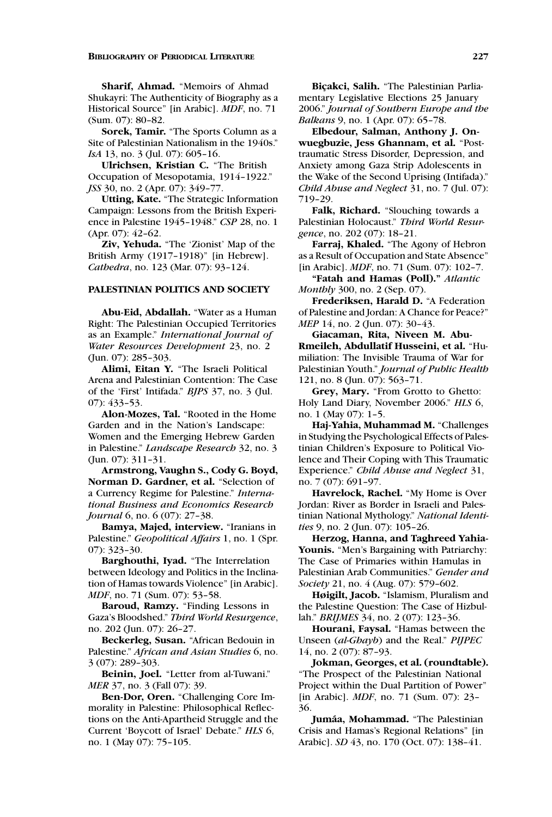**Sharif, Ahmad.** "Memoirs of Ahmad Shukayri: The Authenticity of Biography as a Historical Source" [in Arabic]. *MDF*, no. 71 (Sum. 07): 80–82.

**Sorek, Tamir.** "The Sports Column as a Site of Palestinian Nationalism in the 1940s." *IsA* 13, no. 3 (Jul. 07): 605-16.

**Ulrichsen, Kristian C.** "The British Occupation of Mesopotamia, 1914–1922." *JSS* 30, no. 2 (Apr. 07): 349–77.

**Utting, Kate.** "The Strategic Information Campaign: Lessons from the British Experience in Palestine 1945–1948." *CSP* 28, no. 1 (Apr. 07): 42–62.

**Ziv, Yehuda.** "The 'Zionist' Map of the British Army (1917–1918)" [in Hebrew]. *Cathedra*, no. 123 (Mar. 07): 93–124.

# **PALESTINIAN POLITICS AND SOCIETY**

**Abu-Eid, Abdallah.** "Water as a Human Right: The Palestinian Occupied Territories as an Example." *International Journal of Water Resources Development* 23, no. 2 (Jun. 07): 285–303.

**Alimi, Eitan Y.** "The Israeli Political Arena and Palestinian Contention: The Case of the 'First' Intifada." *BJPS* 37, no. 3 (Jul. 07): 433–53.

**Alon-Mozes, Tal.** "Rooted in the Home Garden and in the Nation's Landscape: Women and the Emerging Hebrew Garden in Palestine." *Landscape Research* 32, no. 3 (Jun. 07): 311–31.

**Armstrong, Vaughn S., Cody G. Boyd, Norman D. Gardner, et al.** "Selection of a Currency Regime for Palestine." *International Business and Economics Research Journal* 6, no. 6 (07): 27-38.

**Bamya, Majed, interview.** "Iranians in Palestine." *Geopolitical Affairs* 1, no. 1 (Spr. 07): 323–30.

**Barghouthi, Iyad.** "The Interrelation between Ideology and Politics in the Inclination of Hamas towards Violence" [in Arabic]. *MDF*, no. 71 (Sum. 07): 53–58.

**Baroud, Ramzy.** "Finding Lessons in Gaza's Bloodshed." *Third World Resurgence*, no. 202 (Jun. 07): 26–27.

**Beckerleg, Susan.** "African Bedouin in Palestine." *African and Asian Studies* 6, no. 3 (07): 289–303.

**Beinin, Joel.** "Letter from al-Tuwani." *MER* 37, no. 3 (Fall 07): 39.

**Ben-Dor, Oren.** "Challenging Core Immorality in Palestine: Philosophical Reflections on the Anti-Apartheid Struggle and the Current 'Boycott of Israel' Debate." *HLS* 6, no. 1 (May 07): 75–105.

Biçakci, Salih. "The Palestinian Parliamentary Legislative Elections 25 January 2006." *Journal of Southern Europe and the Balkans* 9, no. 1 (Apr. 07): 65–78.

**Elbedour, Salman, Anthony J. Onwuegbuzie, Jess Ghannam, et al.** "Posttraumatic Stress Disorder, Depression, and Anxiety among Gaza Strip Adolescents in the Wake of the Second Uprising (Intifada)." *Child Abuse and Neglect* 31, no. 7 (Jul. 07): 719–29.

**Falk, Richard.** "Slouching towards a Palestinian Holocaust." *Third World Resurgence*, no. 202 (07): 18–21.

**Farraj, Khaled.** "The Agony of Hebron as a Result of Occupation and State Absence" [in Arabic]. *MDF*, no. 71 (Sum. 07): 102–7.

**"Fatah and Hamas (Poll)."** *Atlantic Monthly* 300, no. 2 (Sep. 07).

**Frederiksen, Harald D.** "A Federation of Palestine and Jordan: A Chance for Peace?" *MEP* 14, no. 2 (Jun. 07): 30-43.

**Giacaman, Rita, Niveen M. Abu-Rmeileh, Abdullatif Husseini, et al.** "Humiliation: The Invisible Trauma of War for Palestinian Youth." *Journal of Public Health* 121, no. 8 (Jun. 07): 563–71.

**Grey, Mary.** "From Grotto to Ghetto: Holy Land Diary, November 2006." *HLS* 6, no. 1 (May 07): 1–5.

**Haj-Yahia, Muhammad M.** "Challenges in Studying the Psychological Effects of Palestinian Children's Exposure to Political Violence and Their Coping with This Traumatic Experience." *Child Abuse and Neglect* 31, no. 7 (07): 691–97.

**Havrelock, Rachel.** "My Home is Over Jordan: River as Border in Israeli and Palestinian National Mythology." *National Identities* 9, no. 2 (Jun. 07): 105–26.

**Herzog, Hanna, and Taghreed Yahia-Younis.** "Men's Bargaining with Patriarchy: The Case of Primaries within Hamulas in Palestinian Arab Communities." *Gender and Society* 21, no. 4 (Aug. 07): 579–602.

**Høigilt, Jacob.** "Islamism, Pluralism and the Palestine Question: The Case of Hizbullah." *BRIJMES* 34, no. 2 (07): 123–36.

**Hourani, Faysal.** "Hamas between the Unseen (*al-Ghayb*) and the Real." *PIJPEC* 14, no. 2 (07): 87–93.

**Jokman, Georges, et al. (roundtable).** "The Prospect of the Palestinian National Project within the Dual Partition of Power" [in Arabic]. *MDF*, no. 71 (Sum. 07): 23– 36.

**Jumaa, Mohammad. ´** "The Palestinian Crisis and Hamas's Regional Relations" [in Arabic]. *SD* 43, no. 170 (Oct. 07): 138–41.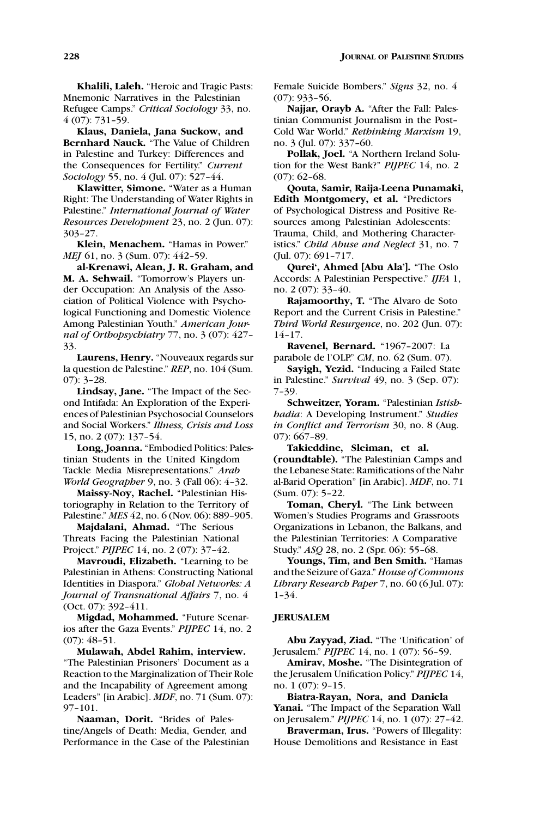**Khalili, Laleh.** "Heroic and Tragic Pasts: Mnemonic Narratives in the Palestinian Refugee Camps." *Critical Sociology* 33, no. 4 (07): 731–59.

**Klaus, Daniela, Jana Suckow, and Bernhard Nauck.** "The Value of Children in Palestine and Turkey: Differences and the Consequences for Fertility." *Current Sociology* 55, no. 4 (Jul. 07): 527–44.

**Klawitter, Simone.** "Water as a Human Right: The Understanding of Water Rights in Palestine." *International Journal of Water Resources Development* 23, no. 2 (Jun. 07): 303–27.

**Klein, Menachem.** "Hamas in Power." *MEI* 61, no. 3 (Sum. 07): 442-59.

**al-Krenawi, Alean, J. R. Graham, and M. A. Sehwail.** "Tomorrow's Players under Occupation: An Analysis of the Association of Political Violence with Psychological Functioning and Domestic Violence Among Palestinian Youth." *American Journal of Orthopsychiatry* 77, no. 3 (07): 427– 33.

**Laurens, Henry.** "Nouveaux regards sur la question de Palestine." *REP*, no. 104 (Sum. 07): 3–28.

**Lindsay, Jane.** "The Impact of the Second Intifada: An Exploration of the Experiences of Palestinian Psychosocial Counselors and Social Workers." *Illness, Crisis and Loss* 15, no. 2 (07): 137–54.

**Long, Joanna.** "Embodied Politics: Palestinian Students in the United Kingdom Tackle Media Misrepresentations." *Arab World Geographer* 9, no. 3 (Fall 06): 4–32.

**Maissy-Noy, Rachel.** "Palestinian Historiography in Relation to the Territory of Palestine." *MES* 42, no. 6 (Nov. 06): 889–905.

**Majdalani, Ahmad.** "The Serious Threats Facing the Palestinian National Project." *PIJPEC* 14, no. 2 (07): 37–42.

**Mavroudi, Elizabeth.** "Learning to be Palestinian in Athens: Constructing National Identities in Diaspora." *Global Networks: A Journal of Transnational Affairs* 7, no. 4 (Oct. 07): 392–411.

**Migdad, Mohammed.** "Future Scenarios after the Gaza Events." *PIJPEC* 14, no. 2 (07): 48–51.

**Mulawah, Abdel Rahim, interview.** "The Palestinian Prisoners' Document as a Reaction to the Marginalization of Their Role and the Incapability of Agreement among Leaders" [in Arabic]. *MDF*, no. 71 (Sum. 07): 97–101.

**Naaman, Dorit.** "Brides of Palestine/Angels of Death: Media, Gender, and Performance in the Case of the Palestinian Female Suicide Bombers." *Signs* 32, no. 4 (07): 933–56.

**Najjar, Orayb A.** "After the Fall: Palestinian Communist Journalism in the Post– Cold War World." *Rethinking Marxism* 19, no. 3 (Jul. 07): 337–60.

**Pollak, Joel.** "A Northern Ireland Solution for the West Bank?" *PIJPEC* 14, no. 2 (07): 62–68.

**Qouta, Samir, Raija-Leena Punamaki, Edith Montgomery, et al.** "Predictors of Psychological Distress and Positive Resources among Palestinian Adolescents: Trauma, Child, and Mothering Characteristics." *Child Abuse and Neglect* 31, no. 7 (Jul. 07): 691–717.

**Qurei', Ahmed [Abu Ala'].** "The Oslo Accords: A Palestinian Perspective." *IJFA* 1, no. 2 (07): 33–40.

**Rajamoorthy, T.** "The Alvaro de Soto Report and the Current Crisis in Palestine." *Third World Resurgence*, no. 202 (Jun. 07): 14–17.

**Ravenel, Bernard.** "1967–2007: La parabole de l'OLP." *CM*, no. 62 (Sum. 07).

**Sayigh, Yezid.** "Inducing a Failed State in Palestine." *Survival* 49, no. 3 (Sep. 07): 7–39.

**Schweitzer, Yoram.** "Palestinian *Istishhadia*: A Developing Instrument." *Studies in Conflict and Terrorism* 30, no. 8 (Aug. 07): 667–89.

**Takieddine, Sleiman, et al. (roundtable).** "The Palestinian Camps and the Lebanese State: Ramifications of the Nahr al-Barid Operation" [in Arabic]. *MDF*, no. 71 (Sum. 07): 5–22.

**Toman, Cheryl.** "The Link between Women's Studies Programs and Grassroots Organizations in Lebanon, the Balkans, and the Palestinian Territories: A Comparative Study." *ASQ* 28, no. 2 (Spr. 06): 55–68.

**Youngs, Tim, and Ben Smith.** "Hamas and the Seizure of Gaza." *House of Commons Library Research Paper* 7, no. 60 (6 Jul. 07): 1–34.

# **JERUSALEM**

**Abu Zayyad, Ziad.** "The 'Unification' of Jerusalem." *PIJPEC* 14, no. 1 (07): 56–59.

**Amirav, Moshe.** "The Disintegration of the Jerusalem Unification Policy." *PIJPEC* 14, no. 1 (07): 9–15.

**Biatra-Rayan, Nora, and Daniela Yanai.** "The Impact of the Separation Wall on Jerusalem." *PIJPEC* 14, no. 1 (07): 27–42.

**Braverman, Irus.** "Powers of Illegality: House Demolitions and Resistance in East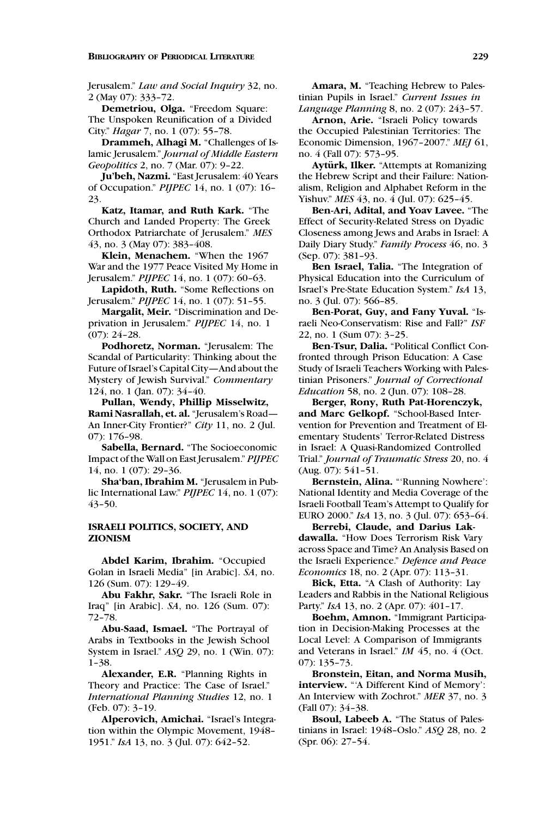#### **BIBLIOGRAPHY OF PERIODICAL LITERATURE 229**

Jerusalem." *Law and Social Inquiry* 32, no. 2 (May 07): 333–72.

**Demetriou, Olga.** "Freedom Square: The Unspoken Reunification of a Divided City." *Hagar* 7, no. 1 (07): 55–78.

**Drammeh, Alhagi M.** "Challenges of Islamic Jerusalem." *Journal of Middle Eastern Geopolitics* 2, no. 7 (Mar. 07): 9–22.

**Ju'beh, Nazmi.** "East Jerusalem: 40 Years of Occupation." *PIJPEC* 14, no. 1 (07): 16– 23.

**Katz, Itamar, and Ruth Kark.** "The Church and Landed Property: The Greek Orthodox Patriarchate of Jerusalem." *MES* 43, no. 3 (May 07): 383–408.

**Klein, Menachem.** "When the 1967 War and the 1977 Peace Visited My Home in Jerusalem." *PIJPEC* 14, no. 1 (07): 60–63.

**Lapidoth, Ruth.** "Some Reflections on Jerusalem." *PIJPEC* 14, no. 1 (07): 51–55.

**Margalit, Meir.** "Discrimination and Deprivation in Jerusalem." *PIJPEC* 14, no. 1 (07): 24–28.

**Podhoretz, Norman.** "Jerusalem: The Scandal of Particularity: Thinking about the Future of Israel's Capital City—And about the Mystery of Jewish Survival." *Commentary* 124, no. 1 (Jan. 07): 34–40.

**Pullan, Wendy, Phillip Misselwitz, Rami Nasrallah, et. al.** "Jerusalem's Road— An Inner-City Frontier?" *City* 11, no. 2 (Jul. 07): 176–98.

**Sabella, Bernard.** "The Socioeconomic Impact of the Wall on East Jerusalem." *PIJPEC* 14, no. 1 (07): 29–36.

**Sha'ban, Ibrahim M.** "Jerusalem in Public International Law." *PIJPEC* 14, no. 1 (07): 43–50.

# **ISRAELI POLITICS, SOCIETY, AND ZIONISM**

**Abdel Karim, Ibrahim.** "Occupied Golan in Israeli Media" [in Arabic]. *SA*, no. 126 (Sum. 07): 129–49.

**Abu Fakhr, Sakr.** "The Israeli Role in Iraq" [in Arabic]. *SA*, no. 126 (Sum. 07): 72–78.

**Abu-Saad, Ismael.** "The Portrayal of Arabs in Textbooks in the Jewish School System in Israel." *ASQ* 29, no. 1 (Win. 07): 1–38.

**Alexander, E.R.** "Planning Rights in Theory and Practice: The Case of Israel." *International Planning Studies* 12, no. 1 (Feb. 07): 3–19.

**Alperovich, Amichai.** "Israel's Integration within the Olympic Movement, 1948– 1951." *IsA* 13, no. 3 (Jul. 07): 642–52.

**Amara, M.** "Teaching Hebrew to Palestinian Pupils in Israel." *Current Issues in Language Planning* 8, no. 2 (07): 243–57.

**Arnon, Arie.** "Israeli Policy towards the Occupied Palestinian Territories: The Economic Dimension, 1967–2007." *MEJ* 61, no. 4 (Fall 07): 573–95.

**Ayturk, Ilker. ¨** "Attempts at Romanizing the Hebrew Script and their Failure: Nationalism, Religion and Alphabet Reform in the Yishuv." *MES* 43, no. 4 (Jul. 07): 625–45.

**Ben-Ari, Adital, and Yoav Lavee.** "The Effect of Security-Related Stress on Dyadic Closeness among Jews and Arabs in Israel: A Daily Diary Study." *Family Process* 46, no. 3 (Sep. 07): 381–93.

**Ben Israel, Talia.** "The Integration of Physical Education into the Curriculum of Israel's Pre-State Education System." *IsA* 13, no. 3 (Jul. 07): 566–85.

**Ben-Porat, Guy, and Fany Yuval.** "Israeli Neo-Conservatism: Rise and Fall?" *ISF* 22, no. 1 (Sum 07): 3–25.

**Ben-Tsur, Dalia.** "Political Conflict Confronted through Prison Education: A Case Study of Israeli Teachers Working with Palestinian Prisoners." *Journal of Correctional Education* 58, no. 2 (Jun. 07): 108–28.

**Berger, Rony, Ruth Pat-Horenczyk, and Marc Gelkopf.** "School-Based Intervention for Prevention and Treatment of Elementary Students' Terror-Related Distress in Israel: A Quasi-Randomized Controlled Trial." *Journal of Traumatic Stress* 20, no. 4 (Aug. 07): 541–51.

**Bernstein, Alina.** "'Running Nowhere': National Identity and Media Coverage of the Israeli Football Team's Attempt to Qualify for EURO 2000." *IsA* 13, no. 3 (Jul. 07): 653–64.

**Berrebi, Claude, and Darius Lakdawalla.** "How Does Terrorism Risk Vary across Space and Time? An Analysis Based on the Israeli Experience." *Defence and Peace Economics* 18, no. 2 (Apr. 07): 113–31.

**Bick, Etta.** "A Clash of Authority: Lay Leaders and Rabbis in the National Religious Party." *IsA* 13, no. 2 (Apr. 07): 401–17.

**Boehm, Amnon.** "Immigrant Participation in Decision-Making Processes at the Local Level: A Comparison of Immigrants and Veterans in Israel." *IM* 45, no. 4 (Oct. 07): 135–73.

**Bronstein, Eitan, and Norma Musih, interview.** "'A Different Kind of Memory': An Interview with Zochrot." *MER* 37, no. 3 (Fall 07): 34–38.

**Bsoul, Labeeb A.** "The Status of Palestinians in Israel: 1948–Oslo." *ASQ* 28, no. 2 (Spr. 06): 27–54.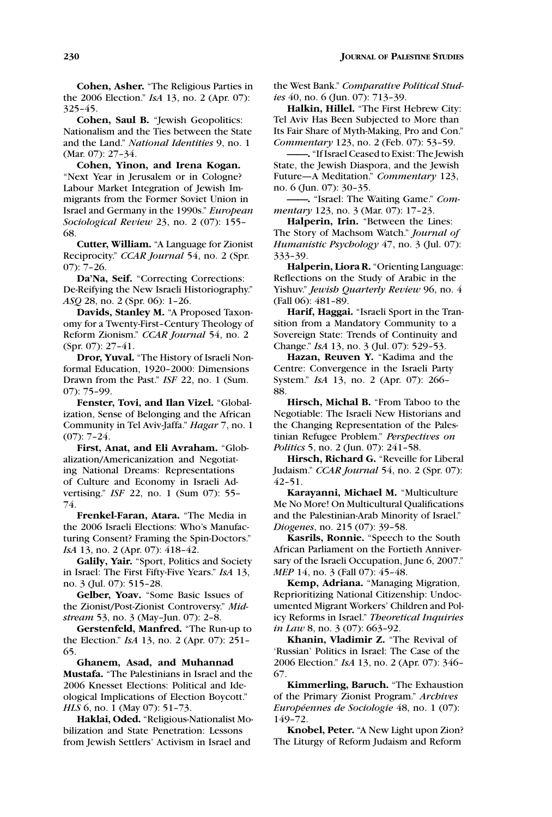**Cohen, Saul B.** "Jewish Geopolitics: Nationalism and the Ties between the State and the Land." *National Identities* 9, no. 1 (Mar. 07): 27–34.

**Cohen, Yinon, and Irena Kogan.** "Next Year in Jerusalem or in Cologne? Labour Market Integration of Jewish Immigrants from the Former Soviet Union in Israel and Germany in the 1990s." *European Sociological Review* 23, no. 2 (07): 155– 68.

**Cutter, William.** "A Language for Zionist Reciprocity." *CCAR Journal* 54, no. 2 (Spr. 07): 7–26.

**Da'Na, Seif.** "Correcting Corrections: De-Reifying the New Israeli Historiography." *ASQ* 28, no. 2 (Spr. 06): 1–26.

**Davids, Stanley M.** "A Proposed Taxonomy for a Twenty-First–Century Theology of Reform Zionism." *CCAR Journal* 54, no. 2 (Spr. 07): 27–41.

**Dror, Yuval.** "The History of Israeli Nonformal Education, 1920–2000: Dimensions Drawn from the Past." *ISF* 22, no. 1 (Sum. 07): 75–99.

**Fenster, Tovi, and Ilan Vizel.** "Globalization, Sense of Belonging and the African Community in Tel Aviv-Jaffa." *Hagar* 7, no. 1 (07): 7–24.

**First, Anat, and Eli Avraham.** "Globalization/Americanization and Negotiating National Dreams: Representations of Culture and Economy in Israeli Advertising." *ISF* 22, no. 1 (Sum 07): 55– 74.

**Frenkel-Faran, Atara.** "The Media in the 2006 Israeli Elections: Who's Manufacturing Consent? Framing the Spin-Doctors." *IsA* 13, no. 2 (Apr. 07): 418-42.

**Galily, Yair.** "Sport, Politics and Society in Israel: The First Fifty-Five Years." *IsA* 13, no. 3 (Jul. 07): 515–28.

**Gelber, Yoav.** "Some Basic Issues of the Zionist/Post-Zionist Controversy." *Midstream* 53, no. 3 (May–Jun. 07): 2–8.

**Gerstenfeld, Manfred.** "The Run-up to the Election." *IsA* 13, no. 2 (Apr. 07): 251– 65.

**Ghanem, Asad, and Muhannad Mustafa.** "The Palestinians in Israel and the 2006 Knesset Elections: Political and Ideological Implications of Election Boycott." *HLS* 6, no. 1 (May 07): 51–73.

**Haklai, Oded.** "Religious-Nationalist Mobilization and State Penetration: Lessons from Jewish Settlers' Activism in Israel and

the West Bank." *Comparative Political Studies* 40, no. 6 (Jun. 07): 713–39.

**Halkin, Hillel.** "The First Hebrew City: Tel Aviv Has Been Subjected to More than Its Fair Share of Myth-Making, Pro and Con." *Commentary* 123, no. 2 (Feb. 07): 53–59.

**——.** "If Israel Ceased to Exist: The Jewish State, the Jewish Diaspora, and the Jewish Future—A Meditation." *Commentary* 123, no. 6 (Jun. 07): 30–35.

**——.** "Israel: The Waiting Game." *Commentary* 123, no. 3 (Mar. 07): 17–23.

**Halperin, Irin.** "Between the Lines: The Story of Machsom Watch." *Journal of Humanistic Psychology* 47, no. 3 (Jul. 07): 333–39.

**Halperin, Liora R.** "Orienting Language: Reflections on the Study of Arabic in the Yishuv." *Jewish Quarterly Review* 96, no. 4 (Fall 06): 481–89.

**Harif, Haggai.** "Israeli Sport in the Transition from a Mandatory Community to a Sovereign State: Trends of Continuity and Change." *IsA* 13, no. 3 (Jul. 07): 529–53.

**Hazan, Reuven Y.** "Kadima and the Centre: Convergence in the Israeli Party System." *IsA* 13, no. 2 (Apr. 07): 266– 88.

**Hirsch, Michal B.** "From Taboo to the Negotiable: The Israeli New Historians and the Changing Representation of the Palestinian Refugee Problem." *Perspectives on Politics* 5, no. 2 (Jun. 07): 241–58.

**Hirsch, Richard G.** "Reveille for Liberal Judaism." *CCAR Journal* 54, no. 2 (Spr. 07): 42–51.

**Karayanni, Michael M.** "Multiculture Me No More! On Multicultural Qualifications and the Palestinian-Arab Minority of Israel." *Diogenes*, no. 215 (07): 39–58.

**Kasrils, Ronnie.** "Speech to the South African Parliament on the Fortieth Anniversary of the Israeli Occupation, June 6, 2007." *MEP* 14, no. 3 (Fall 07): 45-48.

**Kemp, Adriana.** "Managing Migration, Reprioritizing National Citizenship: Undocumented Migrant Workers' Children and Policy Reforms in Israel." *Theoretical Inquiries in Law* 8, no. 3 (07): 663-92.

**Khanin, Vladimir Z.** "The Revival of 'Russian' Politics in Israel: The Case of the 2006 Election." *IsA* 13, no. 2 (Apr. 07): 346– 67.

**Kimmerling, Baruch.** "The Exhaustion of the Primary Zionist Program." *Archives Européennes de Sociologie* 48, no. 1 (07): 149–72.

**Knobel, Peter.** "A New Light upon Zion? The Liturgy of Reform Judaism and Reform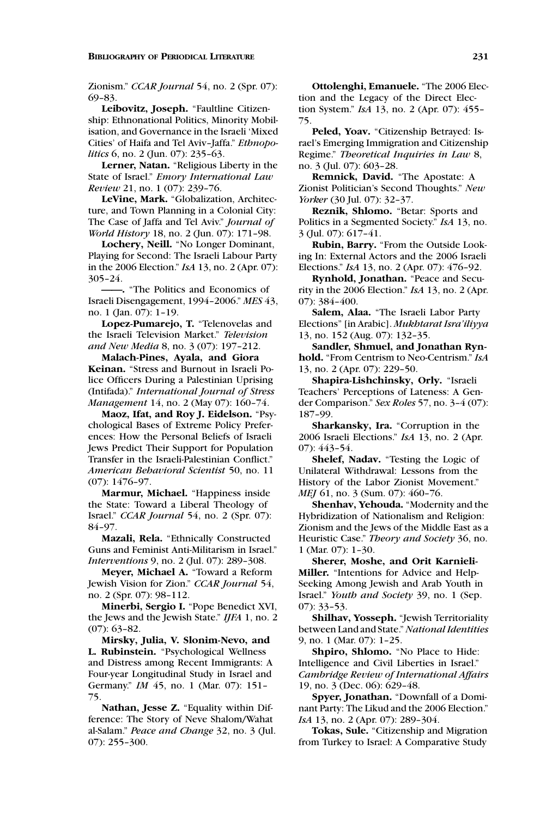Zionism." *CCAR Journal* 54, no. 2 (Spr. 07): 69–83.

**Leibovitz, Joseph.** "Faultline Citizenship: Ethnonational Politics, Minority Mobilisation, and Governance in the Israeli 'Mixed Cities' of Haifa and Tel Aviv–Jaffa." *Ethnopolitics* 6, no. 2 (Jun. 07): 235–63.

**Lerner, Natan.** "Religious Liberty in the State of Israel." *Emory International Law Review* 21, no. 1 (07): 239–76.

**LeVine, Mark.** "Globalization, Architecture, and Town Planning in a Colonial City: The Case of Jaffa and Tel Aviv." *Journal of World History* 18, no. 2 (Jun. 07): 171–98.

**Lochery, Neill.** "No Longer Dominant, Playing for Second: The Israeli Labour Party in the 2006 Election." *IsA* 13, no. 2 (Apr. 07): 305–24.

**——.** "The Politics and Economics of Israeli Disengagement, 1994–2006." *MES* 43, no. 1 (Jan. 07): 1–19.

**Lopez-Pumarejo, T.** "Telenovelas and the Israeli Television Market." *Television and New Media* 8, no. 3 (07): 197–212.

**Malach-Pines, Ayala, and Giora Keinan.** "Stress and Burnout in Israeli Police Officers During a Palestinian Uprising (Intifada)." *International Journal of Stress Management* 14, no. 2 (May 07): 160–74.

**Maoz, Ifat, and Roy J. Eidelson.** "Psychological Bases of Extreme Policy Preferences: How the Personal Beliefs of Israeli Jews Predict Their Support for Population Transfer in the Israeli-Palestinian Conflict." *American Behavioral Scientist* 50, no. 11 (07): 1476–97.

**Marmur, Michael.** "Happiness inside the State: Toward a Liberal Theology of Israel." *CCAR Journal* 54, no. 2 (Spr. 07): 84–97.

**Mazali, Rela.** "Ethnically Constructed Guns and Feminist Anti-Militarism in Israel." *Interventions* 9, no. 2 (Jul. 07): 289–308.

**Meyer, Michael A.** "Toward a Reform Jewish Vision for Zion." *CCAR Journal* 54, no. 2 (Spr. 07): 98–112.

**Minerbi, Sergio I.** "Pope Benedict XVI, the Jews and the Jewish State." *IJFA* 1, no. 2 (07): 63–82.

**Mirsky, Julia, V. Slonim-Nevo, and L. Rubinstein.** "Psychological Wellness and Distress among Recent Immigrants: A Four-year Longitudinal Study in Israel and Germany." *IM* 45, no. 1 (Mar. 07): 151– 75.

**Nathan, Jesse Z.** "Equality within Difference: The Story of Neve Shalom/Wahat al-Salam." *Peace and Change* 32, no. 3 (Jul. 07): 255–300.

**Ottolenghi, Emanuele.** "The 2006 Election and the Legacy of the Direct Election System." *IsA* 13, no. 2 (Apr. 07): 455– 75.

**Peled, Yoav.** "Citizenship Betrayed: Israel's Emerging Immigration and Citizenship Regime." *Theoretical Inquiries in Law* 8, no. 3 (Jul. 07): 603–28.

**Remnick, David.** "The Apostate: A Zionist Politician's Second Thoughts." *New Yorker* (30 Jul. 07): 32–37.

**Reznik, Shlomo.** "Betar: Sports and Politics in a Segmented Society." *IsA* 13, no. 3 (Jul. 07): 617–41.

**Rubin, Barry.** "From the Outside Looking In: External Actors and the 2006 Israeli Elections." *IsA* 13, no. 2 (Apr. 07): 476–92.

**Rynhold, Jonathan.** "Peace and Security in the 2006 Election." *IsA* 13, no. 2 (Apr. 07): 384–400.

**Salem, Alaa.** "The Israeli Labor Party Elections" [in Arabic]. *Mukhtarat Isra'iliyya* 13, no. 152 (Aug. 07): 132–35.

**Sandler, Shmuel, and Jonathan Rynhold.** "From Centrism to Neo-Centrism." *IsA* 13, no. 2 (Apr. 07): 229–50.

**Shapira-Lishchinsky, Orly.** "Israeli Teachers' Perceptions of Lateness: A Gender Comparison." *Sex Roles* 57, no. 3–4 (07): 187–99.

**Sharkansky, Ira.** "Corruption in the 2006 Israeli Elections." *IsA* 13, no. 2 (Apr. 07): 443–54.

**Shelef, Nadav.** "Testing the Logic of Unilateral Withdrawal: Lessons from the History of the Labor Zionist Movement." *MEJ* 61, no. 3 (Sum. 07): 460-76.

**Shenhav, Yehouda.** "Modernity and the Hybridization of Nationalism and Religion: Zionism and the Jews of the Middle East as a Heuristic Case." *Theory and Society* 36, no. 1 (Mar. 07): 1–30.

**Sherer, Moshe, and Orit Karnieli-Miller.** "Intentions for Advice and Help-Seeking Among Jewish and Arab Youth in Israel." *Youth and Society* 39, no. 1 (Sep. 07): 33–53.

**Shilhav, Yosseph.** "Jewish Territoriality between Land and State."*National Identities* 9, no. 1 (Mar. 07): 1–25.

**Shpiro, Shlomo.** "No Place to Hide: Intelligence and Civil Liberties in Israel." *Cambridge Review of International Affairs* 19, no. 3 (Dec. 06): 629–48.

**Spyer, Jonathan.** "Downfall of a Dominant Party: The Likud and the 2006 Election." *IsA* 13, no. 2 (Apr. 07): 289–304.

**Tokas, Sule.** "Citizenship and Migration from Turkey to Israel: A Comparative Study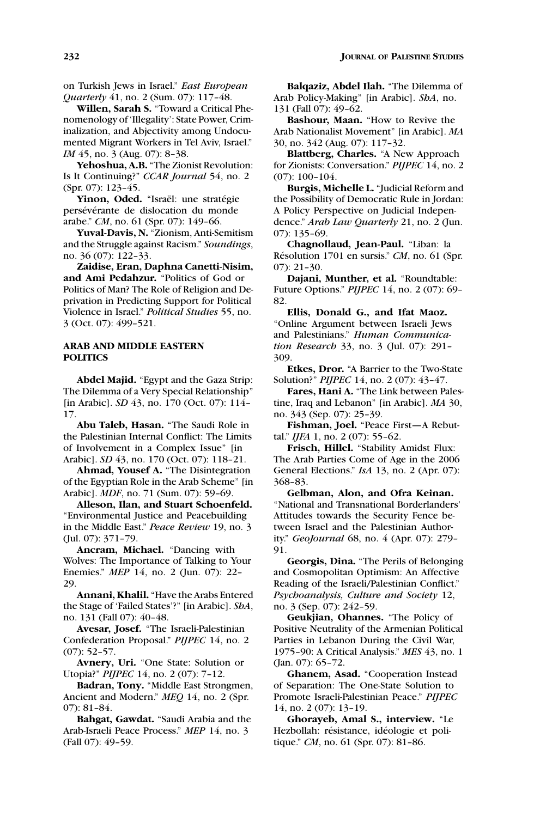on Turkish Jews in Israel." *East European Quarterly* 41, no. 2 (Sum. 07): 117–48.

**Willen, Sarah S.** "Toward a Critical Phenomenology of 'Illegality': State Power, Criminalization, and Abjectivity among Undocumented Migrant Workers in Tel Aviv, Israel." *IM* 45, no. 3 (Aug. 07): 8-38.

**Yehoshua, A.B.** "The Zionist Revolution: Is It Continuing?" *CCAR Journal* 54, no. 2 (Spr. 07): 123–45.

Yinon, Oded. "Israël: une stratégie persévérante de dislocation du monde arabe." *CM*, no. 61 (Spr. 07): 149–66.

**Yuval-Davis, N.** "Zionism, Anti-Semitism and the Struggle against Racism." *Soundings*, no. 36 (07): 122–33.

**Zaidise, Eran, Daphna Canetti-Nisim, and Ami Pedahzur.** "Politics of God or Politics of Man? The Role of Religion and Deprivation in Predicting Support for Political Violence in Israel." *Political Studies* 55, no. 3 (Oct. 07): 499–521.

# **ARAB AND MIDDLE EASTERN POLITICS**

**Abdel Majid.** "Egypt and the Gaza Strip: The Dilemma of a Very Special Relationship" [in Arabic]. *SD* 43, no. 170 (Oct. 07): 114– 17.

**Abu Taleb, Hasan.** "The Saudi Role in the Palestinian Internal Conflict: The Limits of Involvement in a Complex Issue" [in Arabic]. *SD* 43, no. 170 (Oct. 07): 118–21.

**Ahmad, Yousef A.** "The Disintegration of the Egyptian Role in the Arab Scheme" [in Arabic]. *MDF*, no. 71 (Sum. 07): 59–69.

**Alleson, Ilan, and Stuart Schoenfeld.** "Environmental Justice and Peacebuilding in the Middle East." *Peace Review* 19, no. 3 (Jul. 07): 371–79.

**Ancram, Michael.** "Dancing with Wolves: The Importance of Talking to Your Enemies." *MEP* 14, no. 2 (Jun. 07): 22– 29.

**Annani, Khalil.** "Have the Arabs Entered the Stage of 'Failed States'?" [in Arabic]. *ShA*, no. 131 (Fall 07): 40–48.

**Avesar, Josef.** "The Israeli-Palestinian Confederation Proposal." *PIJPEC* 14, no. 2 (07): 52–57.

**Avnery, Uri.** "One State: Solution or Utopia?" *PIJPEC* 14, no. 2 (07): 7–12.

**Badran, Tony.** "Middle East Strongmen, Ancient and Modern." *MEQ* 14, no. 2 (Spr. 07): 81–84.

**Bahgat, Gawdat.** "Saudi Arabia and the Arab-Israeli Peace Process." *MEP* 14, no. 3 (Fall 07): 49–59.

**Balqaziz, Abdel Ilah.** "The Dilemma of Arab Policy-Making" [in Arabic]. *ShA*, no. 131 (Fall 07): 49–62.

**Bashour, Maan.** "How to Revive the Arab Nationalist Movement" [in Arabic]. *MA* 30, no. 342 (Aug. 07): 117–32.

**Blattberg, Charles.** "A New Approach for Zionists: Conversation." *PIJPEC* 14, no. 2 (07): 100–104.

**Burgis, Michelle L.** "Judicial Reform and the Possibility of Democratic Rule in Jordan: A Policy Perspective on Judicial Independence." *Arab Law Quarterly* 21, no. 2 (Jun. 07): 135–69.

**Chagnollaud, Jean-Paul.** "Liban: la Résolution 1701 en sursis." *CM*, no. 61 (Spr. 07): 21–30.

**Dajani, Munther, et al.** "Roundtable: Future Options." *PIJPEC* 14, no. 2 (07): 69– 82.

**Ellis, Donald G., and Ifat Maoz.** "Online Argument between Israeli Jews and Palestinians." *Human Communication Research* 33, no. 3 (Jul. 07): 291– 309.

**Etkes, Dror.** "A Barrier to the Two-State Solution?" *PIJPEC* 14, no. 2 (07): 43–47.

**Fares, Hani A.** "The Link between Palestine, Iraq and Lebanon" [in Arabic]. *MA* 30, no. 343 (Sep. 07): 25–39.

**Fishman, Joel.** "Peace First—A Rebuttal." *IJFA* 1, no. 2 (07): 55–62.

**Frisch, Hillel.** "Stability Amidst Flux: The Arab Parties Come of Age in the 2006 General Elections." *IsA* 13, no. 2 (Apr. 07): 368–83.

**Gelbman, Alon, and Ofra Keinan.** "National and Transnational Borderlanders' Attitudes towards the Security Fence between Israel and the Palestinian Authority." *GeoJournal* 68, no. 4 (Apr. 07): 279– 91.

**Georgis, Dina.** "The Perils of Belonging and Cosmopolitan Optimism: An Affective Reading of the Israeli/Palestinian Conflict." *Psychoanalysis, Culture and Society* 12, no. 3 (Sep. 07): 242–59.

**Geukjian, Ohannes.** "The Policy of Positive Neutrality of the Armenian Political Parties in Lebanon During the Civil War, 1975–90: A Critical Analysis." *MES* 43, no. 1 (Jan. 07): 65–72.

**Ghanem, Asad.** "Cooperation Instead of Separation: The One-State Solution to Promote Israeli-Palestinian Peace." *PIJPEC* 14, no. 2 (07): 13–19.

**Ghorayeb, Amal S., interview.** "Le Hezbollah: résistance, idéologie et politique." *CM*, no. 61 (Spr. 07): 81–86.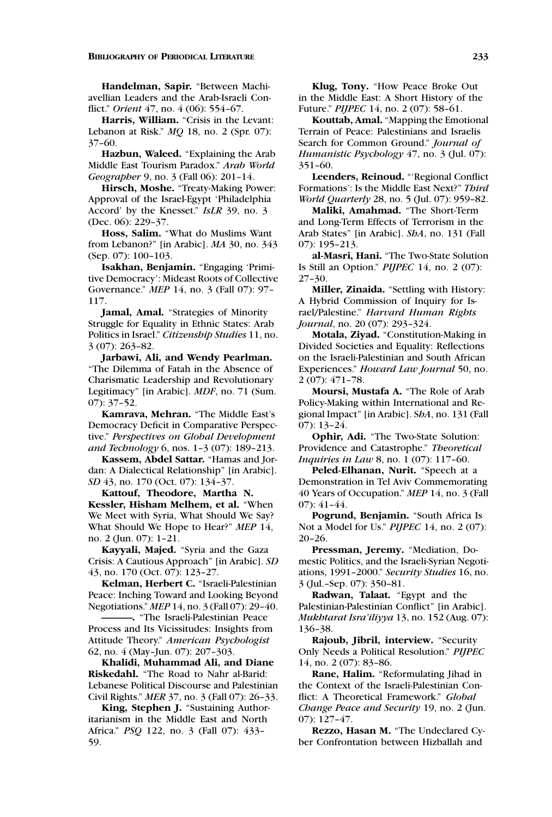**Handelman, Sapir.** "Between Machiavellian Leaders and the Arab-Israeli Conflict." *Orient* 47, no. 4 (06): 554–67.

**Harris, William.** "Crisis in the Levant: Lebanon at Risk." *MQ* 18, no. 2 (Spr. 07): 37–60.

**Hazbun, Waleed.** "Explaining the Arab Middle East Tourism Paradox." *Arab World Geographer* 9, no. 3 (Fall 06): 201–14.

**Hirsch, Moshe.** "Treaty-Making Power: Approval of the Israel-Egypt 'Philadelphia Accord' by the Knesset." *IsLR* 39, no. 3 (Dec. 06): 229–37.

**Hoss, Salim.** "What do Muslims Want from Lebanon?" [in Arabic]. *MA* 30, no. 343 (Sep. 07): 100–103.

**Isakhan, Benjamin.** "Engaging 'Primitive Democracy': Mideast Roots of Collective Governance." *MEP* 14, no. 3 (Fall 07): 97– 117.

**Jamal, Amal.** "Strategies of Minority Struggle for Equality in Ethnic States: Arab Politics in Israel." *Citizenship Studies* 11, no. 3 (07): 263–82.

**Jarbawi, Ali, and Wendy Pearlman.** "The Dilemma of Fatah in the Absence of Charismatic Leadership and Revolutionary Legitimacy" [in Arabic]. *MDF*, no. 71 (Sum. 07): 37–52.

**Kamrava, Mehran.** "The Middle East's Democracy Deficit in Comparative Perspective." *Perspectives on Global Development and Technology* 6, nos. 1–3 (07): 189–213.

**Kassem, Abdel Sattar.** "Hamas and Jordan: A Dialectical Relationship" [in Arabic]. *SD* 43, no. 170 (Oct. 07): 134–37.

**Kattouf, Theodore, Martha N.**

**Kessler, Hisham Melhem, et al.** "When We Meet with Syria, What Should We Say? What Should We Hope to Hear?" *MEP* 14, no. 2 (Jun. 07): 1–21.

**Kayyali, Majed.** "Syria and the Gaza Crisis: A Cautious Approach" [in Arabic]. *SD* 43, no. 170 (Oct. 07): 123–27.

**Kelman, Herbert C.** "Israeli-Palestinian Peace: Inching Toward and Looking Beyond Negotiations." *MEP* 14, no. 3 (Fall 07): 29–40.

**———.** "The Israeli-Palestinian Peace Process and Its Vicissitudes: Insights from Attitude Theory." *American Psychologist* 62, no. 4 (May–Jun. 07): 207–303.

**Khalidi, Muhammad Ali, and Diane Riskedahl.** "The Road to Nahr al-Barid: Lebanese Political Discourse and Palestinian Civil Rights." *MER* 37, no. 3 (Fall 07): 26–33.

**King, Stephen J.** "Sustaining Authoritarianism in the Middle East and North Africa." *PSQ* 122, no. 3 (Fall 07): 433– 59.

**Klug, Tony.** "How Peace Broke Out in the Middle East: A Short History of the Future." *PIJPEC* 14, no. 2 (07): 58–61.

**Kouttab, Amal.** "Mapping the Emotional Terrain of Peace: Palestinians and Israelis Search for Common Ground." *Journal of Humanistic Psychology* 47, no. 3 (Jul. 07): 351–60.

**Leenders, Reinoud.** "'Regional Conflict Formations': Is the Middle East Next?" *Third World Quarterly* 28, no. 5 (Jul. 07): 959–82.

**Maliki, Amahmad.** "The Short-Term and Long-Term Effects of Terrorism in the Arab States" [in Arabic]. *ShA*, no. 131 (Fall 07): 195–213.

**al-Masri, Hani.** "The Two-State Solution Is Still an Option." *PIJPEC* 14, no. 2 (07): 27–30.

**Miller, Zinaida.** "Settling with History: A Hybrid Commission of Inquiry for Israel/Palestine." *Harvard Human Rights Journal*, no. 20 (07): 293–324.

**Motala, Ziyad.** "Constitution-Making in Divided Societies and Equality: Reflections on the Israeli-Palestinian and South African Experiences." *Howard Law Journal* 50, no. 2 (07): 471–78.

**Moursi, Mustafa A.** "The Role of Arab Policy-Making within International and Regional Impact" [in Arabic]. S*hA*, no. 131 (Fall 07): 13–24.

**Ophir, Adi.** "The Two-State Solution: Providence and Catastrophe." *Theoretical Inquiries in Law* 8, no. 1 (07): 117–60.

**Peled-Elhanan, Nurit.** "Speech at a Demonstration in Tel Aviv Commemorating 40 Years of Occupation." *MEP* 14, no. 3 (Fall 07): 41–44.

**Pogrund, Benjamin.** "South Africa Is Not a Model for Us." *PIJPEC* 14, no. 2 (07): 20–26.

**Pressman, Jeremy.** "Mediation, Domestic Politics, and the Israeli-Syrian Negotiations, 1991–2000." *Security Studies* 16, no. 3 (Jul.–Sep. 07): 350–81.

**Radwan, Talaat.** "Egypt and the Palestinian-Palestinian Conflict" [in Arabic]. *Mukhtarat Isra'iliyya* 13, no. 152 (Aug. 07): 136–38.

**Rajoub, Jibril, interview.** "Security Only Needs a Political Resolution." *PIJPEC* 14, no. 2 (07): 83–86.

**Rane, Halim.** "Reformulating Jihad in the Context of the Israeli-Palestinian Conflict: A Theoretical Framework." *Global Change Peace and Security* 19, no. 2 (Jun. 07): 127–47.

**Rezzo, Hasan M.** "The Undeclared Cyber Confrontation between Hizballah and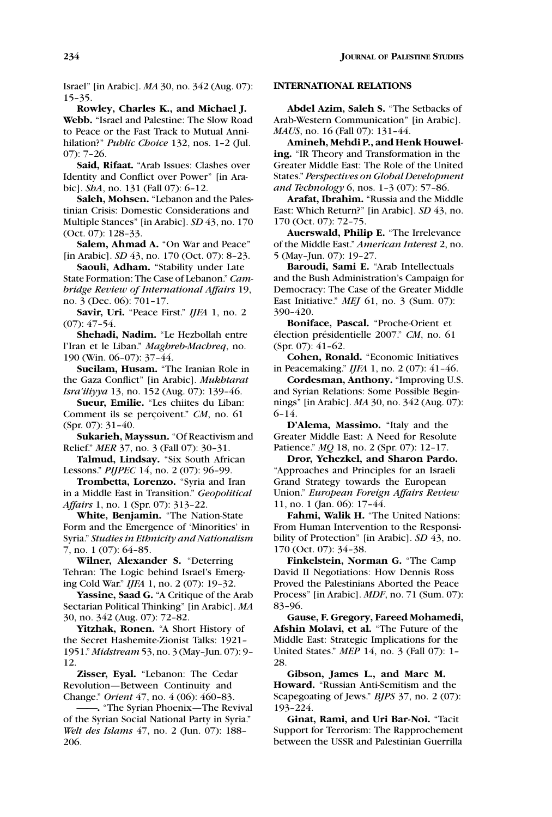Israel" [in Arabic]. *MA* 30, no. 342 (Aug. 07): 15–35.

**Rowley, Charles K., and Michael J. Webb.** "Israel and Palestine: The Slow Road to Peace or the Fast Track to Mutual Annihilation?" *Public Choice* 132, nos. 1–2 (Jul. 07): 7–26.

**Said, Rifaat.** "Arab Issues: Clashes over Identity and Conflict over Power" [in Arabic]. *ShA*, no. 131 (Fall 07): 6–12.

**Saleh, Mohsen.** "Lebanon and the Palestinian Crisis: Domestic Considerations and Multiple Stances" [in Arabic]. *SD* 43, no. 170 (Oct. 07): 128–33.

**Salem, Ahmad A.** "On War and Peace" [in Arabic]. *SD* 43, no. 170 (Oct. 07): 8–23.

**Saouli, Adham.** "Stability under Late State Formation: The Case of Lebanon." *Cambridge Review of International Affairs* 19, no. 3 (Dec. 06): 701–17.

**Savir, Uri.** "Peace First." *IJFA* 1, no. 2 (07): 47–54.

**Shehadi, Nadim.** "Le Hezbollah entre l'Iran et le Liban." *Maghreb-Machreq*, no. 190 (Win. 06–07): 37–44.

**Sueilam, Husam.** "The Iranian Role in the Gaza Conflict" [in Arabic]. *Mukhtarat Isra'iliyya* 13, no. 152 (Aug. 07): 139–46.

**Sueur, Emilie.** "Les chiites du Liban: Comment ils se perçoivent." CM, no. 61 (Spr. 07): 31–40.

**Sukarieh, Mayssun.** "Of Reactivism and Relief." *MER* 37, no. 3 (Fall 07): 30–31.

**Talmud, Lindsay.** "Six South African Lessons." *PIJPEC* 14, no. 2 (07): 96–99.

**Trombetta, Lorenzo.** "Syria and Iran in a Middle East in Transition." *Geopolitical Affairs* 1, no. 1 (Spr. 07): 313–22.

**White, Benjamin.** "The Nation-State Form and the Emergence of 'Minorities' in Syria." *Studies in Ethnicity and Nationalism* 7, no. 1 (07): 64–85.

**Wilner, Alexander S.** "Deterring Tehran: The Logic behind Israel's Emerging Cold War." *IJFA* 1, no. 2 (07): 19–32.

**Yassine, Saad G.** "A Critique of the Arab Sectarian Political Thinking" [in Arabic]. *MA* 30, no. 342 (Aug. 07): 72–82.

**Yitzhak, Ronen.** "A Short History of the Secret Hashemite-Zionist Talks: 1921– 1951." *Midstream* 53, no. 3 (May–Jun. 07): 9– 12.

**Zisser, Eyal.** "Lebanon: The Cedar Revolution—Between Continuity and Change." *Orient* 47, no. 4 (06): 460–83.

**——.** "The Syrian Phoenix—The Revival of the Syrian Social National Party in Syria." *Welt des Islams* 47, no. 2 (Jun. 07): 188– 206.

# **INTERNATIONAL RELATIONS**

**Abdel Azim, Saleh S.** "The Setbacks of Arab-Western Communication" [in Arabic]. *MAUS*, no. 16 (Fall 07): 131–44.

**Amineh, Mehdi P., and Henk Houweling.** "IR Theory and Transformation in the Greater Middle East: The Role of the United States." *Perspectives on Global Development and Technology* 6, nos. 1–3 (07): 57–86.

**Arafat, Ibrahim.** "Russia and the Middle East: Which Return?" [in Arabic]. *SD* 43, no. 170 (Oct. 07): 72–75.

**Auerswald, Philip E.** "The Irrelevance of the Middle East." *American Interest* 2, no. 5 (May–Jun. 07): 19–27.

**Baroudi, Sami E.** "Arab Intellectuals and the Bush Administration's Campaign for Democracy: The Case of the Greater Middle East Initiative." *MEJ* 61, no. 3 (Sum. 07): 390–420.

**Boniface, Pascal.** "Proche-Orient et élection présidentielle 2007." *CM*, no. 61 (Spr. 07): 41–62.

**Cohen, Ronald.** "Economic Initiatives in Peacemaking." *IJFA* 1, no. 2 (07): 41–46.

**Cordesman, Anthony.** "Improving U.S. and Syrian Relations: Some Possible Beginnings" [in Arabic]. *MA* 30, no. 342 (Aug. 07): 6–14.

**D'Alema, Massimo.** "Italy and the Greater Middle East: A Need for Resolute Patience." *MQ* 18, no. 2 (Spr. 07): 12–17.

**Dror, Yehezkel, and Sharon Pardo.** "Approaches and Principles for an Israeli Grand Strategy towards the European Union." *European Foreign Affairs Review* 11, no. 1 (Jan. 06): 17–44.

**Fahmi, Walik H.** "The United Nations: From Human Intervention to the Responsibility of Protection" [in Arabic]. *SD* 43, no. 170 (Oct. 07): 34–38.

**Finkelstein, Norman G.** "The Camp David II Negotiations: How Dennis Ross Proved the Palestinians Aborted the Peace Process" [in Arabic]. *MDF*, no. 71 (Sum. 07): 83–96.

**Gause, F. Gregory, Fareed Mohamedi, Afshin Molavi, et al.** "The Future of the Middle East: Strategic Implications for the United States." *MEP* 14, no. 3 (Fall 07): 1– 28.

**Gibson, James L., and Marc M. Howard.** "Russian Anti-Semitism and the Scapegoating of Jews." *BJPS* 37, no. 2 (07): 193–224.

**Ginat, Rami, and Uri Bar-Noi.** "Tacit Support for Terrorism: The Rapprochement between the USSR and Palestinian Guerrilla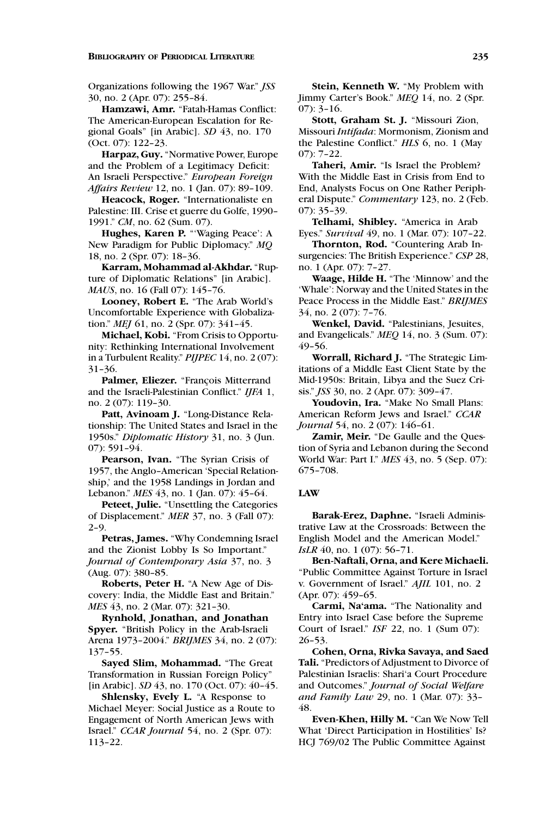### **BIBLIOGRAPHY OF PERIODICAL LITERATURE 235**

Organizations following the 1967 War." *JSS* 30, no. 2 (Apr. 07): 255–84.

**Hamzawi, Amr.** "Fatah-Hamas Conflict: The American-European Escalation for Regional Goals" [in Arabic]. *SD* 43, no. 170 (Oct. 07): 122–23.

**Harpaz, Guy.** "Normative Power, Europe and the Problem of a Legitimacy Deficit: An Israeli Perspective." *European Foreign Affairs Review* 12, no. 1 (Jan. 07): 89–109.

**Heacock, Roger.** "Internationaliste en Palestine: III. Crise et guerre du Golfe, 1990– 1991." *CM*, no. 62 (Sum. 07).

**Hughes, Karen P.** "'Waging Peace': A New Paradigm for Public Diplomacy." *MQ* 18, no. 2 (Spr. 07): 18–36.

**Karram, Mohammad al-Akhdar.** "Rupture of Diplomatic Relations" [in Arabic]. *MAUS*, no. 16 (Fall 07): 145–76.

**Looney, Robert E.** "The Arab World's Uncomfortable Experience with Globalization." *MEJ* 61, no. 2 (Spr. 07): 341–45.

**Michael, Kobi.** "From Crisis to Opportunity: Rethinking International Involvement in a Turbulent Reality." *PIJPEC* 14, no. 2 (07): 31–36.

Palmer, Eliezer. "François Mitterrand and the Israeli-Palestinian Conflict." *IJFA* 1, no. 2 (07): 119–30.

**Patt, Avinoam J.** "Long-Distance Relationship: The United States and Israel in the 1950s." *Diplomatic History* 31, no. 3 (Jun. 07): 591–94.

**Pearson, Ivan.** "The Syrian Crisis of 1957, the Anglo–American 'Special Relationship,' and the 1958 Landings in Jordan and Lebanon." *MES* 43, no. 1 (Jan. 07): 45–64.

**Peteet, Julie.** "Unsettling the Categories of Displacement." *MER* 37, no. 3 (Fall 07): 2–9.

**Petras, James.** "Why Condemning Israel and the Zionist Lobby Is So Important." *Journal of Contemporary Asia* 37, no. 3 (Aug. 07): 380–85.

**Roberts, Peter H.** "A New Age of Discovery: India, the Middle East and Britain." *MES* 43, no. 2 (Mar. 07): 321–30.

**Rynhold, Jonathan, and Jonathan Spyer.** "British Policy in the Arab-Israeli Arena 1973–2004." *BRIJMES* 34, no. 2 (07): 137–55.

**Sayed Slim, Mohammad.** "The Great Transformation in Russian Foreign Policy" [in Arabic]. *SD* 43, no. 170 (Oct. 07): 40–45.

**Shlensky, Evely L.** "A Response to Michael Meyer: Social Justice as a Route to Engagement of North American Jews with Israel." *CCAR Journal* 54, no. 2 (Spr. 07): 113–22.

**Stein, Kenneth W.** "My Problem with Jimmy Carter's Book." *MEQ* 14, no. 2 (Spr.  $(07): 3-16.$ 

**Stott, Graham St. J.** "Missouri Zion, Missouri *Intifada*: Mormonism, Zionism and the Palestine Conflict." *HLS* 6, no. 1 (May 07): 7–22.

**Taheri, Amir.** "Is Israel the Problem? With the Middle East in Crisis from End to End, Analysts Focus on One Rather Peripheral Dispute." *Commentary* 123, no. 2 (Feb. 07): 35–39.

**Telhami, Shibley.** "America in Arab Eyes." *Survival* 49, no. 1 (Mar. 07): 107–22.

**Thornton, Rod.** "Countering Arab Insurgencies: The British Experience." *CSP* 28, no. 1 (Apr. 07): 7–27.

**Waage, Hilde H.** "The 'Minnow' and the 'Whale': Norway and the United States in the Peace Process in the Middle East." *BRIJMES* 34, no. 2 (07): 7–76.

**Wenkel, David.** "Palestinians, Jesuites, and Evangelicals." *MEQ* 14, no. 3 (Sum. 07): 49–56.

**Worrall, Richard J.** "The Strategic Limitations of a Middle East Client State by the Mid-1950s: Britain, Libya and the Suez Crisis." *JSS* 30, no. 2 (Apr. 07): 309–47.

**Youdovin, Ira.** "Make No Small Plans: American Reform Jews and Israel." *CCAR Journal* 54, no. 2 (07): 146-61.

**Zamir, Meir.** "De Gaulle and the Question of Syria and Lebanon during the Second World War: Part I." *MES* 43, no. 5 (Sep. 07): 675–708.

# **LAW**

**Barak-Erez, Daphne.** "Israeli Administrative Law at the Crossroads: Between the English Model and the American Model." *IsLR* 40, no. 1 (07): 56-71.

**Ben-Naftali, Orna, and Kere Michaeli.** "Public Committee Against Torture in Israel v. Government of Israel." *AJIL* 101, no. 2 (Apr. 07): 459–65.

**Carmi, Na'ama.** "The Nationality and Entry into Israel Case before the Supreme Court of Israel." *ISF* 22, no. 1 (Sum 07): 26–53.

**Cohen, Orna, Rivka Savaya, and Saed Tali.** "Predictors of Adjustment to Divorce of Palestinian Israelis: Shari'a Court Procedure and Outcomes." *Journal of Social Welfare and Family Law* 29, no. 1 (Mar. 07): 33– 48.

**Even-Khen, Hilly M.** "Can We Now Tell What 'Direct Participation in Hostilities' Is? HCJ 769/02 The Public Committee Against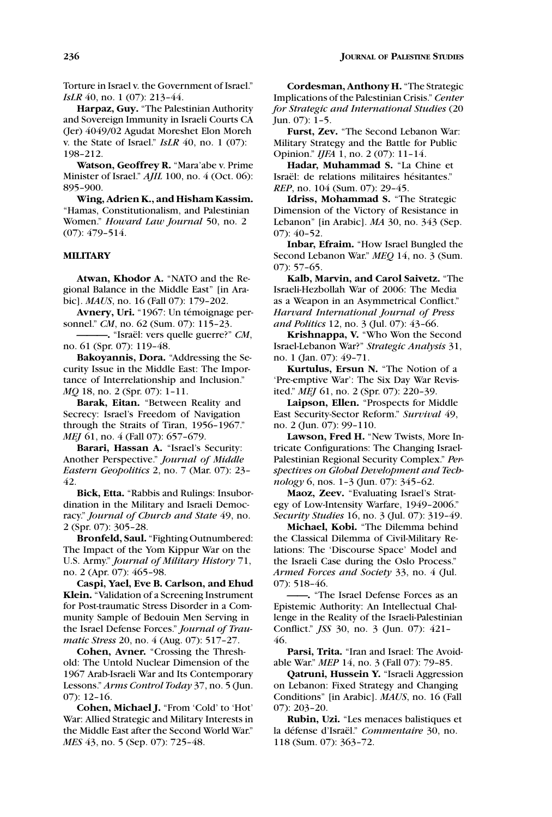Torture in Israel v. the Government of Israel." *IsLR* 40, no. 1 (07): 213-44.

**Harpaz, Guy.** "The Palestinian Authority and Sovereign Immunity in Israeli Courts CA (Jer) 4049/02 Agudat Moreshet Elon Moreh v. the State of Israel." *IsLR* 40, no. 1 (07): 198–212.

**Watson, Geoffrey R.** "Mara'abe v. Prime Minister of Israel." *AJIL* 100, no. 4 (Oct. 06): 895–900.

**Wing, Adrien K., and Hisham Kassim.** "Hamas, Constitutionalism, and Palestinian Women." *Howard Law Journal* 50, no. 2 (07): 479–514.

### **MILITARY**

**Atwan, Khodor A.** "NATO and the Regional Balance in the Middle East" [in Arabic]. *MAUS*, no. 16 (Fall 07): 179–202.

Avnery, Uri. "1967: Un témoignage personnel." *CM*, no. 62 (Sum. 07): 115–23.

**———.** "Isra¨el: vers quelle guerre?" *CM*, no. 61 (Spr. 07): 119–48.

**Bakoyannis, Dora.** "Addressing the Security Issue in the Middle East: The Importance of Interrelationship and Inclusion." *MQ* 18, no. 2 (Spr. 07): 1–11.

**Barak, Eitan.** "Between Reality and Secrecy: Israel's Freedom of Navigation through the Straits of Tiran, 1956–1967." *MEJ* 61, no. 4 (Fall 07): 657-679.

**Barari, Hassan A.** "Israel's Security: Another Perspective." *Journal of Middle Eastern Geopolitics* 2, no. 7 (Mar. 07): 23– 42.

**Bick, Etta.** "Rabbis and Rulings: Insubordination in the Military and Israeli Democracy." *Journal of Church and State* 49, no. 2 (Spr. 07): 305–28.

**Bronfeld, Saul.** "Fighting Outnumbered: The Impact of the Yom Kippur War on the U.S. Army." *Journal of Military History* 71, no. 2 (Apr. 07): 465–98.

**Caspi, Yael, Eve B. Carlson, and Ehud Klein.** "Validation of a Screening Instrument for Post-traumatic Stress Disorder in a Community Sample of Bedouin Men Serving in the Israel Defense Forces." *Journal of Traumatic Stress* 20, no. 4 (Aug. 07): 517–27.

**Cohen, Avner.** "Crossing the Threshold: The Untold Nuclear Dimension of the 1967 Arab-Israeli War and Its Contemporary Lessons." *Arms Control Today* 37, no. 5 (Jun. 07): 12–16.

**Cohen, Michael J.** "From 'Cold' to 'Hot' War: Allied Strategic and Military Interests in the Middle East after the Second World War." *MES* 43, no. 5 (Sep. 07): 725–48.

**Cordesman, Anthony H.** "The Strategic Implications of the Palestinian Crisis." *Center for Strategic and International Studies* (20  $\text{I}$ un. 07):  $\overline{1}$ –5.

**Furst, Zev.** "The Second Lebanon War: Military Strategy and the Battle for Public Opinion." *IJFA* 1, no. 2 (07): 11–14.

**Hadar, Muhammad S.** "La Chine et Israël: de relations militaires hésitantes." *REP*, no. 104 (Sum. 07): 29–45.

**Idriss, Mohammad S.** "The Strategic Dimension of the Victory of Resistance in Lebanon" [in Arabic]. *MA* 30, no. 343 (Sep. 07): 40–52.

**Inbar, Efraim.** "How Israel Bungled the Second Lebanon War." *MEQ* 14, no. 3 (Sum. 07): 57–65.

**Kalb, Marvin, and Carol Saivetz.** "The Israeli-Hezbollah War of 2006: The Media as a Weapon in an Asymmetrical Conflict." *Harvard International Journal of Press and Politics* 12, no. 3 (Jul. 07): 43–66.

**Krishnappa, V.** "Who Won the Second Israel-Lebanon War?" *Strategic Analysis* 31, no. 1 (Jan. 07): 49–71.

**Kurtulus, Ersun N.** "The Notion of a 'Pre-emptive War': The Six Day War Revisited." *MEJ* 61, no. 2 (Spr. 07): 220–39.

**Laipson, Ellen.** "Prospects for Middle East Security-Sector Reform." *Survival* 49, no. 2 (Jun. 07): 99–110.

**Lawson, Fred H.** "New Twists, More Intricate Configurations: The Changing Israel-Palestinian Regional Security Complex." *Perspectives on Global Development and Technology* 6, nos. 1–3 (Jun. 07): 345–62.

**Maoz, Zeev.** "Evaluating Israel's Strategy of Low-Intensity Warfare, 1949–2006." *Security Studies* 16, no. 3 (Jul. 07): 319–49.

**Michael, Kobi.** "The Dilemma behind the Classical Dilemma of Civil-Military Relations: The 'Discourse Space' Model and the Israeli Case during the Oslo Process." *Armed Forces and Society* 33, no. 4 (Jul. 07): 518–46.

**——.** "The Israel Defense Forces as an Epistemic Authority: An Intellectual Challenge in the Reality of the Israeli-Palestinian Conflict." *JSS* 30, no. 3 (Jun. 07): 421– 46.

**Parsi, Trita.** "Iran and Israel: The Avoidable War." *MEP* 14, no. 3 (Fall 07): 79–85.

**Qatruni, Hussein Y.** "Israeli Aggression on Lebanon: Fixed Strategy and Changing Conditions" [in Arabic]. *MAUS*, no. 16 (Fall 07): 203–20.

**Rubin, Uzi.** "Les menaces balistiques et la défense d'Israël." *Commentaire* 30, no. 118 (Sum. 07): 363–72.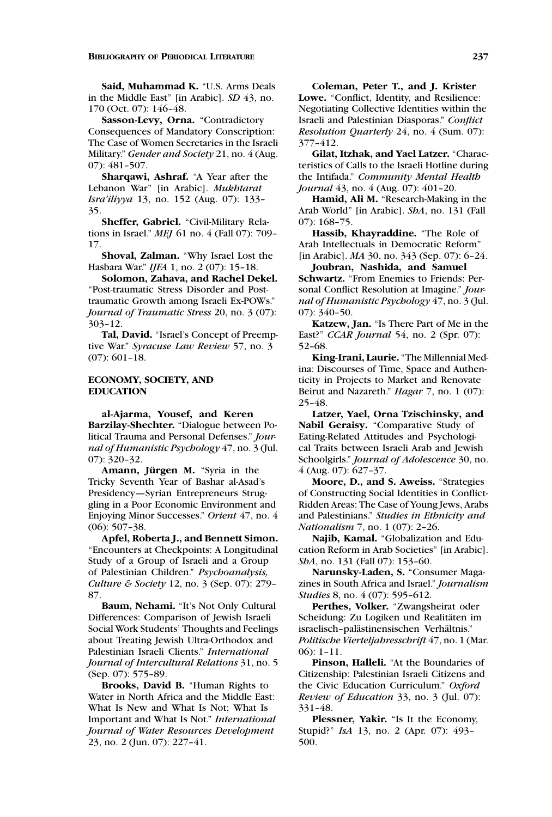**Said, Muhammad K.** "U.S. Arms Deals in the Middle East" [in Arabic]. *SD* 43, no. 170 (Oct. 07): 146–48.

**Sasson-Levy, Orna.** "Contradictory Consequences of Mandatory Conscription: The Case of Women Secretaries in the Israeli Military." *Gender and Society* 21, no. 4 (Aug. 07): 481–507.

**Sharqawi, Ashraf.** "A Year after the Lebanon War" [in Arabic]. *Mukhtarat Isra'iliyya* 13, no. 152 (Aug. 07): 133– 35.

**Sheffer, Gabriel.** "Civil-Military Relations in Israel." *MEJ* 61 no. 4 (Fall 07): 709– 17.

**Shoval, Zalman.** "Why Israel Lost the Hasbara War." *IJFA* 1, no. 2 (07): 15–18.

**Solomon, Zahava, and Rachel Dekel.** "Post-traumatic Stress Disorder and Posttraumatic Growth among Israeli Ex-POWs." *Journal of Traumatic Stress* 20, no. 3 (07): 303–12.

**Tal, David.** "Israel's Concept of Preemptive War." *Syracuse Law Review* 57, no. 3 (07): 601–18.

# **ECONOMY, SOCIETY, AND EDUCATION**

**al-Ajarma, Yousef, and Keren Barzilay-Shechter.** "Dialogue between Political Trauma and Personal Defenses." *Journal of Humanistic Psychology* 47, no. 3 (Jul. 07): 320–32.

**Amann, Jurgen M. ¨** "Syria in the Tricky Seventh Year of Bashar al-Asad's Presidency—Syrian Entrepreneurs Struggling in a Poor Economic Environment and Enjoying Minor Successes." *Orient* 47, no. 4 (06): 507–38.

**Apfel, Roberta J., and Bennett Simon.** "Encounters at Checkpoints: A Longitudinal Study of a Group of Israeli and a Group of Palestinian Children." *Psychoanalysis, Culture & Society* 12, no. 3 (Sep. 07): 279– 87.

**Baum, Nehami.** "It's Not Only Cultural Differences: Comparison of Jewish Israeli Social Work Students' Thoughts and Feelings about Treating Jewish Ultra-Orthodox and Palestinian Israeli Clients." *International Journal of Intercultural Relations* 31, no. 5 (Sep. 07): 575–89.

**Brooks, David B.** "Human Rights to Water in North Africa and the Middle East: What Is New and What Is Not; What Is Important and What Is Not." *International Journal of Water Resources Development* 23, no. 2 (Jun. 07): 227–41.

**Coleman, Peter T., and J. Krister Lowe.** "Conflict, Identity, and Resilience: Negotiating Collective Identities within the Israeli and Palestinian Diasporas." *Conflict Resolution Quarterly* 24, no. 4 (Sum. 07): 377–412.

**Gilat, Itzhak, and Yael Latzer.** "Characteristics of Calls to the Israeli Hotline during the Intifada." *Community Mental Health Journal* 43, no. 4 (Aug. 07): 401-20.

**Hamid, Ali M.** "Research-Making in the Arab World" [in Arabic]. *ShA*, no. 131 (Fall 07): 168–75.

**Hassib, Khayraddine.** "The Role of Arab Intellectuals in Democratic Reform" [in Arabic]. *MA* 30, no. 343 (Sep. 07): 6–24.

**Joubran, Nashida, and Samuel Schwartz.** "From Enemies to Friends: Personal Conflict Resolution at Imagine." *Journal of Humanistic Psychology* 47, no. 3 (Jul. 07): 340–50.

**Katzew, Jan.** "Is There Part of Me in the East?" *CCAR Journal* 54, no. 2 (Spr. 07): 52–68.

**King-Irani, Laurie.** "The Millennial Medina: Discourses of Time, Space and Authenticity in Projects to Market and Renovate Beirut and Nazareth." *Hagar* 7, no. 1 (07): 25–48.

**Latzer, Yael, Orna Tzischinsky, and Nabil Geraisy.** "Comparative Study of Eating-Related Attitudes and Psychological Traits between Israeli Arab and Jewish Schoolgirls." *Journal of Adolescence* 30, no. 4 (Aug. 07): 627–37.

**Moore, D., and S. Aweiss.** "Strategies of Constructing Social Identities in Conflict-Ridden Areas: The Case of Young Jews, Arabs and Palestinians." *Studies in Ethnicity and Nationalism* 7, no. 1 (07): 2–26.

**Najib, Kamal.** "Globalization and Education Reform in Arab Societies" [in Arabic]. *ShA*, no. 131 (Fall 07): 153–60.

**Narunsky-Laden, S.** "Consumer Magazines in South Africa and Israel." *Journalism Studies* 8, no. 4 (07): 595–612.

**Perthes, Volker.** "Zwangsheirat oder Scheidung: Zu Logiken und Realitäten im israelisch-palästinensischen Verhältnis." *Politische Vierteljahresschrift* 47, no. 1 (Mar. 06): 1–11.

**Pinson, Halleli.** "At the Boundaries of Citizenship: Palestinian Israeli Citizens and the Civic Education Curriculum." *Oxford Review of Education* 33, no. 3 (Jul. 07): 331–48.

**Plessner, Yakir.** "Is It the Economy, Stupid?" *IsA* 13, no. 2 (Apr. 07): 493– 500.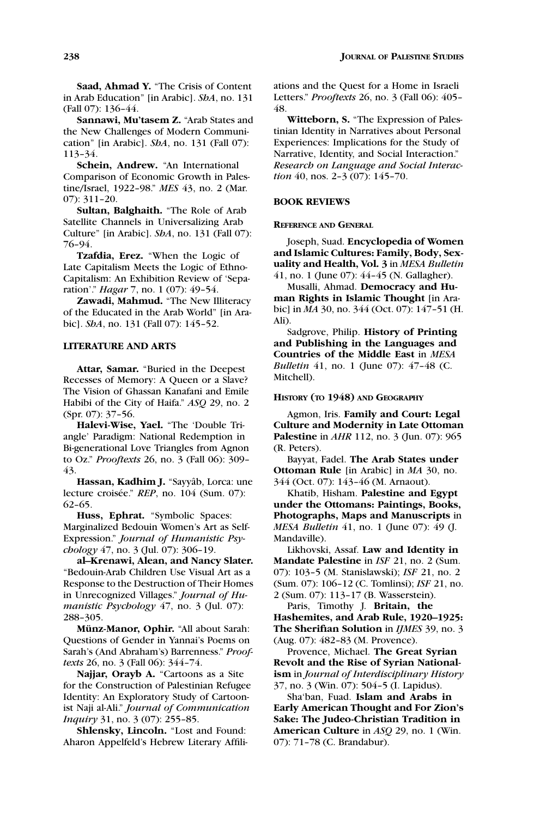**Sannawi, Mu'tasem Z.** "Arab States and the New Challenges of Modern Communication" [in Arabic]. *ShA*, no. 131 (Fall 07): 113–34.

**Schein, Andrew.** "An International Comparison of Economic Growth in Palestine/Israel, 1922–98." *MES* 43, no. 2 (Mar. 07): 311–20.

**Sultan, Balghaith.** "The Role of Arab Satellite Channels in Universalizing Arab Culture" [in Arabic]. *ShA*, no. 131 (Fall 07): 76–94.

**Tzafdia, Erez.** "When the Logic of Late Capitalism Meets the Logic of Ethno-Capitalism: An Exhibition Review of 'Separation'." *Hagar* 7, no. 1 (07): 49–54.

**Zawadi, Mahmud.** "The New Illiteracy of the Educated in the Arab World" [in Arabic]. *ShA*, no. 131 (Fall 07): 145–52.

# **LITERATURE AND ARTS**

**Attar, Samar.** "Buried in the Deepest Recesses of Memory: A Queen or a Slave? The Vision of Ghassan Kanafani and Emile Habibi of the City of Haifa." *ASQ* 29, no. 2 (Spr. 07): 37–56.

**Halevi-Wise, Yael.** "The 'Double Triangle' Paradigm: National Redemption in Bi-generational Love Triangles from Agnon to Oz." *Prooftexts* 26, no. 3 (Fall 06): 309– 43.

Hassan, Kadhim J. "Sayyâb, Lorca: une lecture croisée." *REP*, no. 104 (Sum. 07): 62–65.

**Huss, Ephrat.** "Symbolic Spaces: Marginalized Bedouin Women's Art as Self-Expression." *Journal of Humanistic Psychology* 47, no. 3 (Jul. 07): 306–19.

**al–Krenawi, Alean, and Nancy Slater.** "Bedouin-Arab Children Use Visual Art as a Response to the Destruction of Their Homes in Unrecognized Villages." *Journal of Humanistic Psychology* 47, no. 3 (Jul. 07): 288–305.

**Munz-Manor, Ophir. ¨** "All about Sarah: Questions of Gender in Yannai's Poems on Sarah's (And Abraham's) Barrenness." *Prooftexts* 26, no. 3 (Fall 06): 344–74.

**Najjar, Orayb A.** "Cartoons as a Site for the Construction of Palestinian Refugee Identity: An Exploratory Study of Cartoonist Naji al-Ali." *Journal of Communication Inquiry* 31, no. 3 (07): 255–85.

**Shlensky, Lincoln.** "Lost and Found: Aharon Appelfeld's Hebrew Literary Affiliations and the Quest for a Home in Israeli Letters." *Prooftexts* 26, no. 3 (Fall 06): 405– 48.

**Witteborn, S.** "The Expression of Palestinian Identity in Narratives about Personal Experiences: Implications for the Study of Narrative, Identity, and Social Interaction." *Research on Language and Social Interaction* 40, nos. 2–3 (07): 145–70.

# **BOOK REVIEWS**

### **REFERENCE AND GENERAL**

Joseph, Suad. **Encyclopedia of Women and Islamic Cultures: Family, Body, Sexuality and Health, Vol. 3** in *MESA Bulletin* 41, no. 1 (June 07): 44–45 (N. Gallagher).

Musalli, Ahmad. **Democracy and Human Rights in Islamic Thought** [in Arabic] in *MA* 30, no. 344 (Oct. 07): 147–51 (H. Ali).

Sadgrove, Philip. **History of Printing and Publishing in the Languages and Countries of the Middle East** in *MESA Bulletin* 41, no. 1 (June 07): 47–48 (C. Mitchell).

### **HISTORY (TO 1948) AND GEOGRAPHY**

Agmon, Iris. **Family and Court: Legal Culture and Modernity in Late Ottoman Palestine** in *AHR* 112, no. 3 (Jun. 07): 965 (R. Peters).

Bayyat, Fadel. **The Arab States under Ottoman Rule** [in Arabic] in *MA* 30, no. 344 (Oct. 07): 143–46 (M. Arnaout).

Khatib, Hisham. **Palestine and Egypt under the Ottomans: Paintings, Books, Photographs, Maps and Manuscripts** in *MESA Bulletin* 41, no. 1 (June 07): 49 (J. Mandaville).

Likhovski, Assaf. **Law and Identity in Mandate Palestine** in *ISF* 21, no. 2 (Sum. 07): 103–5 (M. Stanislawski); *ISF* 21, no. 2 (Sum. 07): 106–12 (C. Tomlinsi); *ISF* 21, no. 2 (Sum. 07): 113–17 (B. Wasserstein).

Paris, Timothy J. **Britain, the Hashemites, and Arab Rule, 1920–1925: The Sherifian Solution** in *IJMES* 39, no. 3 (Aug. 07): 482–83 (M. Provence).

Provence, Michael. **The Great Syrian Revolt and the Rise of Syrian Nationalism** in *Journal of Interdisciplinary History* 37, no. 3 (Win. 07): 504–5 (I. Lapidus).

Sha'ban, Fuad. **Islam and Arabs in Early American Thought and For Zion's Sake: The Judeo-Christian Tradition in American Culture** in *ASQ* 29, no. 1 (Win. 07): 71–78 (C. Brandabur).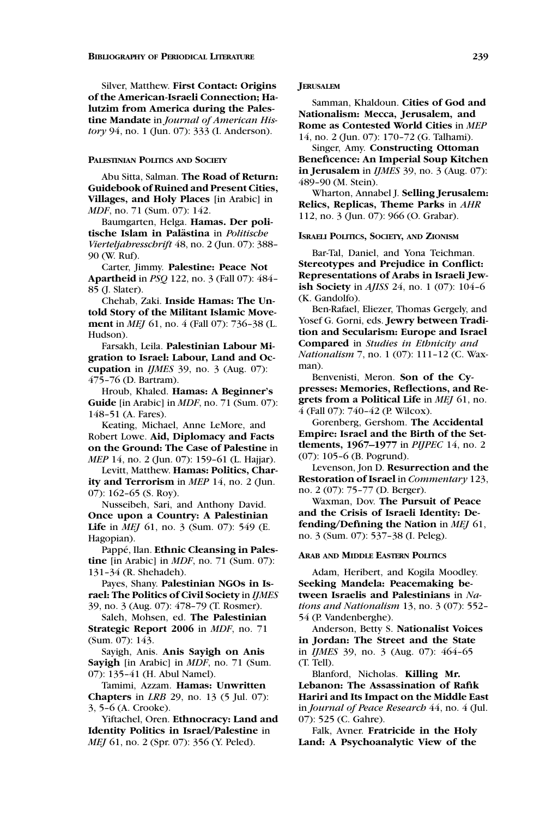Silver, Matthew. **First Contact: Origins of the American-Israeli Connection; Halutzim from America during the Palestine Mandate** in *Journal of American History* 94, no. 1 (Jun. 07): 333 (I. Anderson).

### **PALESTINIAN POLITICS AND SOCIETY**

Abu Sitta, Salman. **The Road of Return: Guidebook of Ruined and Present Cities, Villages, and Holy Places** [in Arabic] in *MDF*, no. 71 (Sum. 07): 142.

Baumgarten, Helga. **Hamas. Der politische Islam in Palastina ¨** in *Politische Vierteljahresschrift* 48, no. 2 (Jun. 07): 388– 90 (W. Ruf).

Carter, Jimmy. **Palestine: Peace Not Apartheid** in *PSQ* 122, no. 3 (Fall 07): 484– 85 (J. Slater).

Chehab, Zaki. **Inside Hamas: The Untold Story of the Militant Islamic Movement** in *MEJ* 61, no. 4 (Fall 07): 736–38 (L. Hudson).

Farsakh, Leila. **Palestinian Labour Migration to Israel: Labour, Land and Occupation** in *IJMES* 39, no. 3 (Aug. 07): 475–76 (D. Bartram).

Hroub, Khaled. **Hamas: A Beginner's Guide** [in Arabic] in *MDF*, no. 71 (Sum. 07): 148–51 (A. Fares).

Keating, Michael, Anne LeMore, and Robert Lowe. **Aid, Diplomacy and Facts on the Ground: The Case of Palestine** in *MEP* 14, no. 2 (Jun. 07): 159–61 (L. Hajjar).

Levitt, Matthew. **Hamas: Politics, Charity and Terrorism** in *MEP* 14, no. 2 (Jun. 07): 162–65 (S. Roy).

Nusseibeh, Sari, and Anthony David. **Once upon a Country: A Palestinian Life** in *MEJ* 61, no. 3 (Sum. 07): 549 (E. Hagopian).

Pappé, Ilan. **Ethnic Cleansing in Palestine** [in Arabic] in *MDF*, no. 71 (Sum. 07): 131–34 (R. Shehadeh).

Payes, Shany. **Palestinian NGOs in Israel: The Politics of Civil Society** in *IJMES* 39, no. 3 (Aug. 07): 478–79 (T. Rosmer).

Saleh, Mohsen, ed. **The Palestinian Strategic Report 2006** in *MDF*, no. 71 (Sum. 07): 143.

Sayigh, Anis. **Anis Sayigh on Anis Sayigh** [in Arabic] in *MDF*, no. 71 (Sum. 07): 135–41 (H. Abul Namel).

Tamimi, Azzam. **Hamas: Unwritten Chapters** in *LRB* 29, no. 13 (5 Jul. 07): 3, 5–6 (A. Crooke).

Yiftachel, Oren. **Ethnocracy: Land and Identity Politics in Israel/Palestine** in *MEJ* 61, no. 2 (Spr. 07): 356 (Y. Peled).

## **JERUSALEM**

Samman, Khaldoun. **Cities of God and Nationalism: Mecca, Jerusalem, and Rome as Contested World Cities** in *MEP* 14, no. 2 (Jun. 07): 170–72 (G. Talhami).

Singer, Amy. **Constructing Ottoman Beneficence: An Imperial Soup Kitchen in Jerusalem** in *IJMES* 39, no. 3 (Aug. 07): 489–90 (M. Stein).

Wharton, Annabel J. **Selling Jerusalem: Relics, Replicas, Theme Parks** in *AHR* 112, no. 3 (Jun. 07): 966 (O. Grabar).

### **ISRAELI POLITICS, SOCIETY, AND ZIONISM**

Bar-Tal, Daniel, and Yona Teichman. **Stereotypes and Prejudice in Conflict: Representations of Arabs in Israeli Jewish Society** in *AJISS* 24, no. 1 (07): 104–6 (K. Gandolfo).

Ben-Rafael, Eliezer, Thomas Gergely, and Yosef G. Gorni, eds. **Jewry between Tradition and Secularism: Europe and Israel Compared** in *Studies in Ethnicity and Nationalism* 7, no. 1 (07): 111–12 (C. Waxman).

Benvenisti, Meron. **Son of the Cypresses: Memories, Reflections, and Regrets from a Political Life** in *MEJ* 61, no. 4 (Fall 07): 740–42 (P. Wilcox).

Gorenberg, Gershom. **The Accidental Empire: Israel and the Birth of the Settlements, 1967–1977** in *PIJPEC* 14, no. 2 (07): 105–6 (B. Pogrund).

Levenson, Jon D. **Resurrection and the Restoration of Israel** in *Commentary* 123, no. 2 (07): 75–77 (D. Berger).

Waxman, Dov. **The Pursuit of Peace and the Crisis of Israeli Identity: Defending/Defining the Nation** in *MEJ* 61, no. 3 (Sum. 07): 537–38 (I. Peleg).

### **ARAB AND MIDDLE EASTERN POLITICS**

Adam, Heribert, and Kogila Moodley. **Seeking Mandela: Peacemaking between Israelis and Palestinians** in *Nations and Nationalism* 13, no. 3 (07): 552– 54 (P. Vandenberghe).

Anderson, Betty S. **Nationalist Voices in Jordan: The Street and the State** in *IJMES* 39, no. 3 (Aug. 07): 464–65 (T. Tell).

Blanford, Nicholas. **Killing Mr. Lebanon: The Assassination of Rafik Hariri and Its Impact on the Middle East** in *Journal of Peace Research* 44, no. 4 (Jul. 07): 525 (C. Gahre).

Falk, Avner. **Fratricide in the Holy Land: A Psychoanalytic View of the**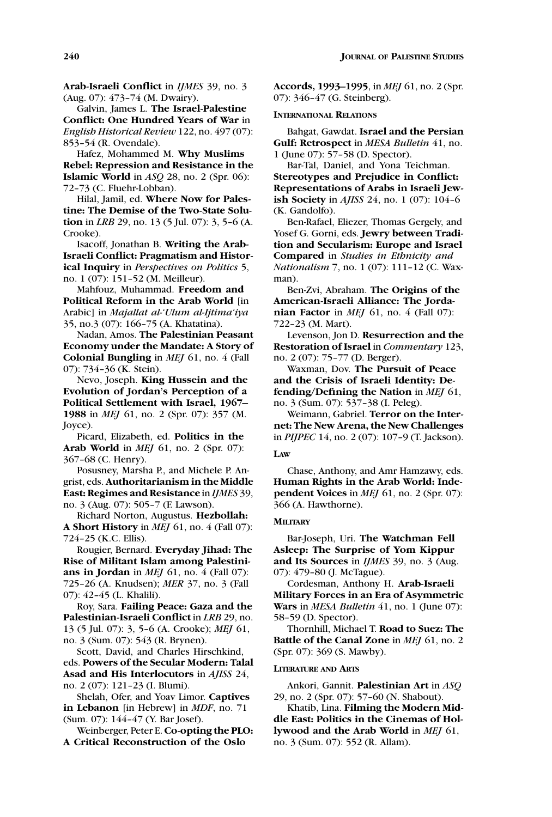**Arab-Israeli Conflict** in *IJMES* 39, no. 3 (Aug. 07): 473–74 (M. Dwairy).

Galvin, James L. **The Israel-Palestine Conflict: One Hundred Years of War** in *English Historical Review* 122, no. 497 (07): 853–54 (R. Ovendale).

Hafez, Mohammed M. **Why Muslims Rebel: Repression and Resistance in the Islamic World** in *ASQ* 28, no. 2 (Spr. 06): 72–73 (C. Fluehr-Lobban).

Hilal, Jamil, ed. **Where Now for Palestine: The Demise of the Two-State Solution** in *LRB* 29, no. 13 (5 Jul. 07): 3, 5–6 (A. Crooke).

Isacoff, Jonathan B. **Writing the Arab-Israeli Conflict: Pragmatism and Historical Inquiry** in *Perspectives on Politics* 5, no. 1 (07): 151–52 (M. Meilleur).

Mahfouz, Muhammad. **Freedom and Political Reform in the Arab World** [in Arabic] in *Majallat al-'Ulum al-Ijtima'iya* 35, no.3 (07): 166–75 (A. Khatatina).

Nadan, Amos. **The Palestinian Peasant Economy under the Mandate: A Story of Colonial Bungling** in *MEJ* 61, no. 4 (Fall 07): 734–36 (K. Stein).

Nevo, Joseph. **King Hussein and the Evolution of Jordan's Perception of a Political Settlement with Israel, 1967– 1988** in *MEJ* 61, no. 2 (Spr. 07): 357 (M. Joyce).

Picard, Elizabeth, ed. **Politics in the Arab World** in *MEJ* 61, no. 2 (Spr. 07): 367–68 (C. Henry).

Posusney, Marsha P., and Michele P. Angrist, eds. **Authoritarianism in the Middle East: Regimes and Resistance** in *IJMES* 39, no. 3 (Aug. 07): 505–7 (F. Lawson).

Richard Norton, Augustus. **Hezbollah: A Short History** in *MEJ* 61, no. 4 (Fall 07): 724–25 (K.C. Ellis).

Rougier, Bernard. **Everyday Jihad: The Rise of Militant Islam among Palestinians in Jordan** in *MEJ* 61, no. 4 (Fall 07): 725–26 (A. Knudsen); *MER* 37, no. 3 (Fall 07): 42–45 (L. Khalili).

Roy, Sara. **Failing Peace: Gaza and the Palestinian-Israeli Conflict** in *LRB* 29, no. 13 (5 Jul. 07): 3, 5–6 (A. Crooke); *MEJ* 61, no. 3 (Sum. 07): 543 (R. Brynen).

Scott, David, and Charles Hirschkind, eds. **Powers of the Secular Modern: Talal Asad and His Interlocutors** in *AJISS* 24, no. 2 (07): 121–23 (I. Blumi).

Shelah, Ofer, and Yoav Limor. **Captives in Lebanon** [in Hebrew] in *MDF*, no. 71 (Sum. 07): 144–47 (Y. Bar Josef).

Weinberger, Peter E. **Co-opting the PLO: A Critical Reconstruction of the Oslo**

**Accords, 1993–1995**, in *MEJ* 61, no. 2 (Spr. 07): 346–47 (G. Steinberg).

### **INTERNATIONAL RELATIONS**

Bahgat, Gawdat. **Israel and the Persian Gulf: Retrospect** in *MESA Bulletin* 41, no. 1 (June 07): 57–58 (D. Spector).

Bar-Tal, Daniel, and Yona Teichman. **Stereotypes and Prejudice in Conflict: Representations of Arabs in Israeli Jewish Society** in *AJISS* 24, no. 1 (07): 104–6 (K. Gandolfo).

Ben-Rafael, Eliezer, Thomas Gergely, and Yosef G. Gorni, eds. **Jewry between Tradition and Secularism: Europe and Israel Compared** in *Studies in Ethnicity and Nationalism* 7, no. 1 (07): 111–12 (C. Waxman).

Ben-Zvi, Abraham. **The Origins of the American-Israeli Alliance: The Jordanian Factor** in *MEJ* 61, no. 4 (Fall 07): 722–23 (M. Mart).

Levenson, Jon D. **Resurrection and the Restoration of Israel** in *Commentary* 123, no. 2 (07): 75–77 (D. Berger).

Waxman, Dov. **The Pursuit of Peace and the Crisis of Israeli Identity: Defending/Defining the Nation** in *MEJ* 61, no. 3 (Sum. 07): 537–38 (I. Peleg).

Weimann, Gabriel. **Terror on the Internet: The New Arena, the New Challenges** in *PIJPEC* 14, no. 2 (07): 107–9 (T. Jackson).

#### **LAW**

Chase, Anthony, and Amr Hamzawy, eds. **Human Rights in the Arab World: Independent Voices** in *MEJ* 61, no. 2 (Spr. 07): 366 (A. Hawthorne).

### **MILITARY**

Bar-Joseph, Uri. **The Watchman Fell Asleep: The Surprise of Yom Kippur and Its Sources** in *IJMES* 39, no. 3 (Aug. 07): 479–80 (J. McTague).

Cordesman, Anthony H. **Arab-Israeli Military Forces in an Era of Asymmetric Wars** in *MESA Bulletin* 41, no. 1 (June 07): 58–59 (D. Spector).

Thornhill, Michael T. **Road to Suez: The Battle of the Canal Zone** in *MEJ* 61, no. 2 (Spr. 07): 369 (S. Mawby).

#### **LITERATURE AND ARTS**

Ankori, Gannit. **Palestinian Art** in *ASQ* 29, no. 2 (Spr. 07): 57–60 (N. Shabout).

Khatib, Lina. **Filming the Modern Middle East: Politics in the Cinemas of Hollywood and the Arab World** in *MEJ* 61, no. 3 (Sum. 07): 552 (R. Allam).